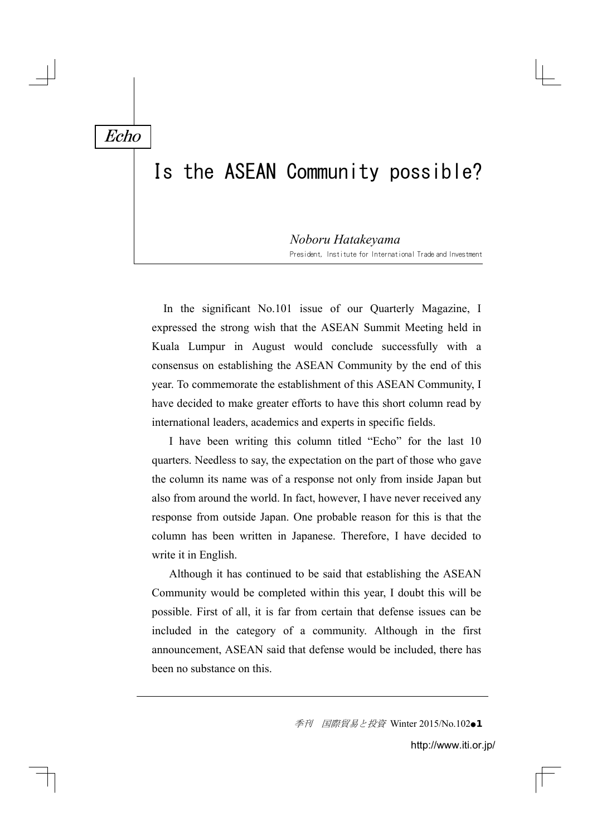## Echo

## Is the ASEAN Community possible?

*Noboru Hatakeyama* 

President, Institute for International Trade and Investment

In the significant No.101 issue of our Quarterly Magazine, I expressed the strong wish that the ASEAN Summit Meeting held in Kuala Lumpur in August would conclude successfully with a consensus on establishing the ASEAN Community by the end of this year. To commemorate the establishment of this ASEAN Community, I have decided to make greater efforts to have this short column read by international leaders, academics and experts in specific fields.

 I have been writing this column titled "Echo" for the last 10 quarters. Needless to say, the expectation on the part of those who gave the column its name was of a response not only from inside Japan but also from around the world. In fact, however, I have never received any response from outside Japan. One probable reason for this is that the column has been written in Japanese. Therefore, I have decided to write it in English.

 Although it has continued to be said that establishing the ASEAN Community would be completed within this year, I doubt this will be possible. First of all, it is far from certain that defense issues can be included in the category of a community. Although in the first announcement, ASEAN said that defense would be included, there has been no substance on this.